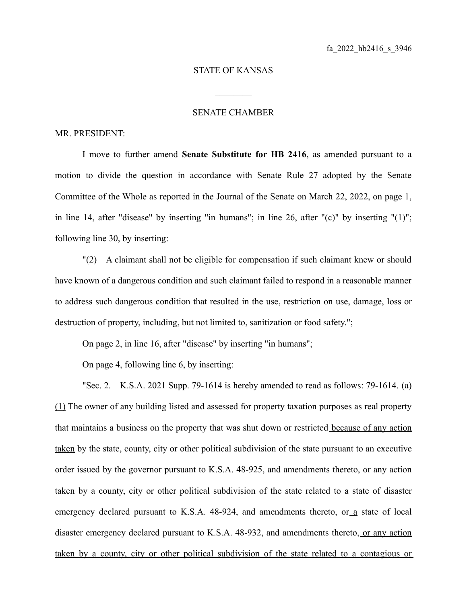## STATE OF KANSAS

 $\mathcal{L}_\text{max}$ 

## SENATE CHAMBER

## MR. PRESIDENT:

I move to further amend **Senate Substitute for HB 2416**, as amended pursuant to a motion to divide the question in accordance with Senate Rule 27 adopted by the Senate Committee of the Whole as reported in the Journal of the Senate on March 22, 2022, on page 1, in line 14, after "disease" by inserting "in humans"; in line 26, after "(c)" by inserting "(1)"; following line 30, by inserting:

"(2) A claimant shall not be eligible for compensation if such claimant knew or should have known of a dangerous condition and such claimant failed to respond in a reasonable manner to address such dangerous condition that resulted in the use, restriction on use, damage, loss or destruction of property, including, but not limited to, sanitization or food safety.";

On page 2, in line 16, after "disease" by inserting "in humans";

On page 4, following line 6, by inserting:

"Sec. 2. K.S.A. 2021 Supp. 79-1614 is hereby amended to read as follows: 79-1614. (a) (1) The owner of any building listed and assessed for property taxation purposes as real property that maintains a business on the property that was shut down or restricted because of any action taken by the state, county, city or other political subdivision of the state pursuant to an executive order issued by the governor pursuant to K.S.A. 48-925, and amendments thereto, or any action taken by a county, city or other political subdivision of the state related to a state of disaster emergency declared pursuant to K.S.A. 48-924, and amendments thereto, or a state of local disaster emergency declared pursuant to K.S.A. 48-932, and amendments thereto, or any action taken by a county, city or other political subdivision of the state related to a contagious or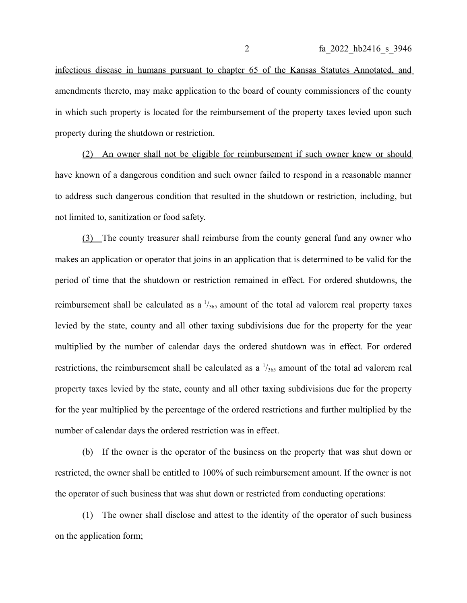infectious disease in humans pursuant to chapter 65 of the Kansas Statutes Annotated, and amendments thereto, may make application to the board of county commissioners of the county in which such property is located for the reimbursement of the property taxes levied upon such property during the shutdown or restriction.

(2) An owner shall not be eligible for reimbursement if such owner knew or should have known of a dangerous condition and such owner failed to respond in a reasonable manner to address such dangerous condition that resulted in the shutdown or restriction, including, but not limited to, sanitization or food safety.

(3) The county treasurer shall reimburse from the county general fund any owner who makes an application or operator that joins in an application that is determined to be valid for the period of time that the shutdown or restriction remained in effect. For ordered shutdowns, the reimbursement shall be calculated as a  $\frac{1}{365}$  amount of the total ad valorem real property taxes levied by the state, county and all other taxing subdivisions due for the property for the year multiplied by the number of calendar days the ordered shutdown was in effect. For ordered restrictions, the reimbursement shall be calculated as a  $\frac{1}{365}$  amount of the total ad valorem real property taxes levied by the state, county and all other taxing subdivisions due for the property for the year multiplied by the percentage of the ordered restrictions and further multiplied by the number of calendar days the ordered restriction was in effect.

(b) If the owner is the operator of the business on the property that was shut down or restricted, the owner shall be entitled to 100% of such reimbursement amount. If the owner is not the operator of such business that was shut down or restricted from conducting operations:

(1) The owner shall disclose and attest to the identity of the operator of such business on the application form;